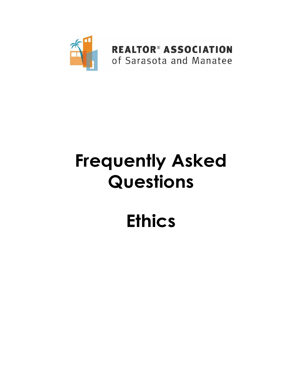

# **Frequently Asked Questions**

# **Ethics**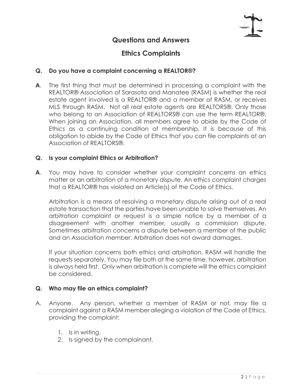

### **Questions and Answers**

## **Ethics Complaints**

#### **Q. Do you have a complaint concerning a REALTOR®?**

**A**. The first thing that must be determined in processing a complaint with the REALTOR® Association of Sarasota and Manatee (RASM) is whether the real estate agent involved is a REALTOR® and a member of RASM, or receives MLS through RASM. Not all real estate agents are REALTORS®. Only those who belong to an Association of REALTORS® can use the term REALTOR®. When joining an Association, all members agree to abide by the Code of Ethics as a continuing condition of membership. It is because of this obligation to abide by the Code of Ethics that you can file complaints at an Association of REALTORS®.

#### **Q. Is your complaint Ethics or Arbitration?**

**A**. You may have to consider whether your complaint concerns an ethics matter or an arbitration of a monetary dispute. An ethics complaint charges that a REALTOR® has violated an Article(s) of the Code of Ethics.

Arbitration is a means of resolving a monetary dispute arising out of a real estate transaction that the parties have been unable to solve themselves. An arbitration complaint or request is a simple notice by a member of a disagreement with another member, usually a commission dispute. Sometimes arbitration concerns a dispute between a member of the public and an Association member. Arbitration does not award damages.

If your situation concerns both ethics and arbitration, RASM will handle the requests separately. You may file both at the same time, however, arbitration is always held first. Only when arbitration is complete will the ethics complaint be considered.

#### **Q. Who may file an ethics complaint?**

- A. Anyone. Any person, whether a member of RASM or not, may file a complaint against a RASM member alleging a violation of the Code of Ethics, providing the complaint:
	- 1. Is in writing.
	- 2. Is signed by the complainant.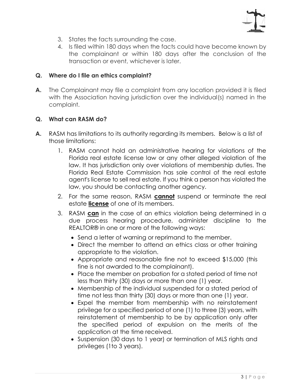

- 3. States the facts surrounding the case.
- 4. Is filed within 180 days when the facts could have become known by the complainant or within 180 days after the conclusion of the transaction or event, whichever is later.

#### **Q. Where do I file an ethics complaint?**

**A.** The Complainant may file a complaint from any location provided it is filed with the Association having jurisdiction over the individual(s) named in the complaint.

#### **Q. What can RASM do?**

- **A.** RASM has limitations to its authority regarding its members. Below is a list of those limitations:
	- 1. RASM cannot hold an administrative hearing for violations of the Florida real estate license law or any other alleged violation of the law. It has jurisdiction only over violations of membership duties. The Florida Real Estate Commission has sole control of the real estate agent's license to sell real estate. If you think a person has violated the law, you should be contacting another agency.
	- 2. For the same reason, RASM **cannot** suspend or terminate the real estate **license** of one of its members.
	- 3. RASM **can** in the case of an ethics violation being determined in a due process hearing procedure, administer discipline to the REALTOR® in one or more of the following ways:
		- Send a letter of warning or reprimand to the member.
		- Direct the member to attend an ethics class or other training appropriate to the violation.
		- Appropriate and reasonable fine not to exceed \$15,000 (this fine is not awarded to the complainant).
		- Place the member on probation for a stated period of time not less than thirty (30) days or more than one (1) year.
		- Membership of the individual suspended for a stated period of time not less than thirty (30) days or more than one (1) year.
		- Expel the member from membership with no reinstatement privilege for a specified period of one (1) to three (3) years, with reinstatement of membership to be by application only after the specified period of expulsion on the merits of the application at the time received.
		- Suspension (30 days to 1 year) or termination of MLS rights and privileges (1to 3 years).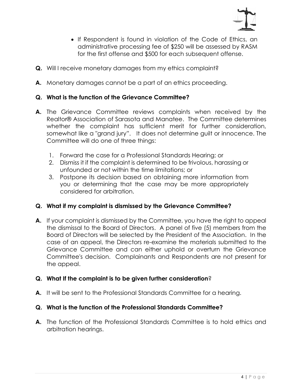

- If Respondent is found in violation of the Code of Ethics, an administrative processing fee of \$250 will be assessed by RASM for the first offense and \$500 for each subsequent offense.
- **Q.** Will I receive monetary damages from my ethics complaint?
- **A.** Monetary damages cannot be a part of an ethics proceeding.

#### **Q. What is the function of the Grievance Committee?**

- **A.** The Grievance Committee reviews complaints when received by the Realtor® Association of Sarasota and Manatee. The Committee determines whether the complaint has sufficient merit for further consideration, somewhat like a "grand jury". It does not determine guilt or innocence. The Committee will do one of three things:
	- 1. Forward the case for a Professional Standards Hearing; or
	- 2. Dismiss it if the complaint is determined to be frivolous, harassing or unfounded or not within the time limitations; or
	- 3. Postpone its decision based on obtaining more information from you or determining that the case may be more appropriately considered for arbitration.

#### **Q. What if my complaint is dismissed by the Grievance Committee?**

**A.** If your complaint is dismissed by the Committee, you have the right to appeal the dismissal to the Board of Directors. A panel of five (5) members from the Board of Directors will be selected by the President of the Association. In the case of an appeal, the Directors re-examine the materials submitted to the Grievance Committee and can either uphold or overturn the Grievance Committee's decision. Complainants and Respondents are not present for the appeal.

#### **Q. What If the complaint is to be given further consideration**?

**A.** It will be sent to the Professional Standards Committee for a hearing.

#### **Q. What is the function of the Professional Standards Committee?**

**A.** The function of the Professional Standards Committee is to hold ethics and arbitration hearings.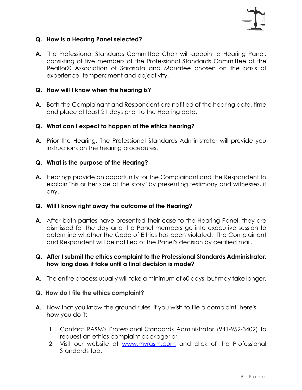

#### **Q. How is a Hearing Panel selected?**

**A.** The Professional Standards Committee Chair will appoint a Hearing Panel, consisting of five members of the Professional Standards Committee of the Realtor® Association of Sarasota and Manatee chosen on the basis of experience, temperament and objectivity.

#### **Q. How will I know when the hearing is?**

**A.** Both the Complainant and Respondent are notified of the hearing date, time and place at least 21 days prior to the Hearing date.

#### **Q. What can I expect to happen at the ethics hearing?**

**A.** Prior the Hearing, The Professional Standards Administrator will provide you instructions on the hearing procedures.

#### **Q. What is the purpose of the Hearing?**

**A.** Hearings provide an opportunity for the Complainant and the Respondent to explain "his or her side of the story" by presenting testimony and witnesses, if any.

#### **Q. Will I know right away the outcome of the Hearing?**

**A.** After both parties have presented their case to the Hearing Panel, they are dismissed for the day and the Panel members go into executive session to determine whether the Code of Ethics has been violated. The Complainant and Respondent will be notified of the Panel's decision by certified mail.

#### **Q. After I submit the ethics complaint to the Professional Standards Administrator, how long does it take until a final decision is made?**

**A.** The entire process usually will take a minimum of 60 days, but may take longer.

#### **Q. How do I file the ethics complaint?**

- **A.** Now that you know the ground rules, if you wish to file a complaint, here's how you do it:
	- 1. Contact RASM's Professional Standards Administrator (941-952-3402) to request an ethics complaint package; or
	- 2. Visit our website at [www.myrasm.com](http://www.myrasm.com/) and click of the Professional Standards tab.